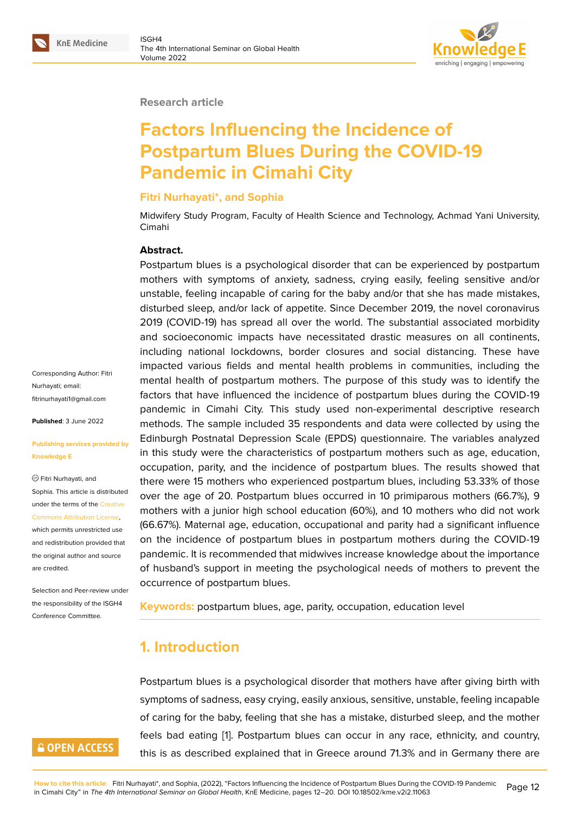#### **Research article**

# **Factors Influencing the Incidence of Postpartum Blues During the COVID-19 Pandemic in Cimahi City**

#### **Fitri Nurhayati\*, and Sophia**

Midwifery Study Program, Faculty of Health Science and Technology, Achmad Yani University, Cimahi

#### **Abstract.**

Postpartum blues is a psychological disorder that can be experienced by postpartum mothers with symptoms of anxiety, sadness, crying easily, feeling sensitive and/or unstable, feeling incapable of caring for the baby and/or that she has made mistakes, disturbed sleep, and/or lack of appetite. Since December 2019, the novel coronavirus 2019 (COVID-19) has spread all over the world. The substantial associated morbidity and socioeconomic impacts have necessitated drastic measures on all continents, including national lockdowns, border closures and social distancing. These have impacted various fields and mental health problems in communities, including the mental health of postpartum mothers. The purpose of this study was to identify the factors that have influenced the incidence of postpartum blues during the COVID-19 pandemic in Cimahi City. This study used non-experimental descriptive research methods. The sample included 35 respondents and data were collected by using the Edinburgh Postnatal Depression Scale (EPDS) questionnaire. The variables analyzed in this study were the characteristics of postpartum mothers such as age, education, occupation, parity, and the incidence of postpartum blues. The results showed that there were 15 mothers who experienced postpartum blues, including 53.33% of those over the age of 20. Postpartum blues occurred in 10 primiparous mothers (66.7%), 9 mothers with a junior high school education (60%), and 10 mothers who did not work (66.67%). Maternal age, education, occupational and parity had a significant influence on the incidence of postpartum blues in postpartum mothers during the COVID-19 pandemic. It is recommended that midwives increase knowledge about the importance of husband's support in meeting the psychological needs of mothers to prevent the occurrence of postpartum blues.

**Keywords:** postpartum blues, age, parity, occupation, education level

# **1. Introduction**

Postpartum blues is a psychological disorder that mothers have after giving birth with symptoms of sadness, easy crying, easily anxious, sensitive, unstable, feeling incapable of caring for the baby, feeling that she has a mistake, disturbed sleep, and the mother feels bad eating [1]. Postpartum blues can occur in any race, ethnicity, and country, this is as described explained that in Greece around 71.3% and in Germany there are

Corresponding Author: Fitri Nurhayati; email: fitrinurhayati1@gmail.com

**Published**: 3 June 2022

#### **[Publishing services prov](mailto:fitrinurhayati1@gmail.com)ided by Knowledge E**

Fitri Nurhayati, and Sophia. This article is distributed under the terms of the Creative Commons Attribution License,

which permits unrestricted use and redistribution provided that the original author and [source](https://creativecommons.org/licenses/by/4.0/) [are credited.](https://creativecommons.org/licenses/by/4.0/)

Selection and Peer-review under the responsibility of the ISGH4 Conference Committee.

# **GOPEN ACCESS**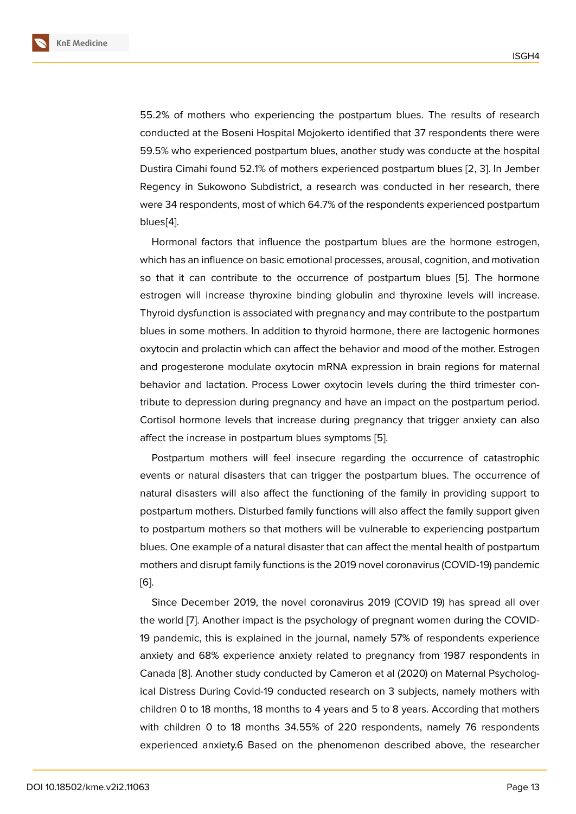55.2% of mothers who experiencing the postpartum blues. The results of research conducted at the Boseni Hospital Mojokerto identified that 37 respondents there were 59.5% who experienced postpartum blues, another study was conducte at the hospital Dustira Cimahi found 52.1% of mothers experienced postpartum blues [2, 3]. In Jember Regency in Sukowono Subdistrict, a research was conducted in her research, there were 34 respondents, most of which 64.7% of the respondents experienced postpartum blues[4].

Hormonal factors that influence the postpartum blues are the hormone estrogen, which has an influence on basic emotional processes, arousal, cognition, and motivation so th[at](#page-7-1) it can contribute to the occurrence of postpartum blues [5]. The hormone estrogen will increase thyroxine binding globulin and thyroxine levels will increase. Thyroid dysfunction is associated with pregnancy and may contribute to the postpartum blues in some mothers. In addition to thyroid hormone, there are lac[tog](#page-7-2)enic hormones oxytocin and prolactin which can affect the behavior and mood of the mother. Estrogen and progesterone modulate oxytocin mRNA expression in brain regions for maternal behavior and lactation. Process Lower oxytocin levels during the third trimester contribute to depression during pregnancy and have an impact on the postpartum period. Cortisol hormone levels that increase during pregnancy that trigger anxiety can also affect the increase in postpartum blues symptoms [5].

Postpartum mothers will feel insecure regarding the occurrence of catastrophic events or natural disasters that can trigger the postpartum blues. The occurrence of natural disasters will also affect the functioning o[f t](#page-7-2)he family in providing support to postpartum mothers. Disturbed family functions will also affect the family support given to postpartum mothers so that mothers will be vulnerable to experiencing postpartum blues. One example of a natural disaster that can affect the mental health of postpartum mothers and disrupt family functions is the 2019 novel coronavirus (COVID-19) pandemic [6].

Since December 2019, the novel coronavirus 2019 (COVID 19) has spread all over the world [7]. Another impact is the psychology of pregnant women during the COVID-[19](#page-7-3) pandemic, this is explained in the journal, namely 57% of respondents experience anxiety and 68% experience anxiety related to pregnancy from 1987 respondents in Canada [8[\].](#page-7-4) Another study conducted by Cameron et al (2020) on Maternal Psychological Distress During Covid-19 conducted research on 3 subjects, namely mothers with children 0 to 18 months, 18 months to 4 years and 5 to 8 years. According that mothers with chil[dr](#page-7-5)en 0 to 18 months 34.55% of 220 respondents, namely 76 respondents experienced anxiety.6 Based on the phenomenon described above, the researcher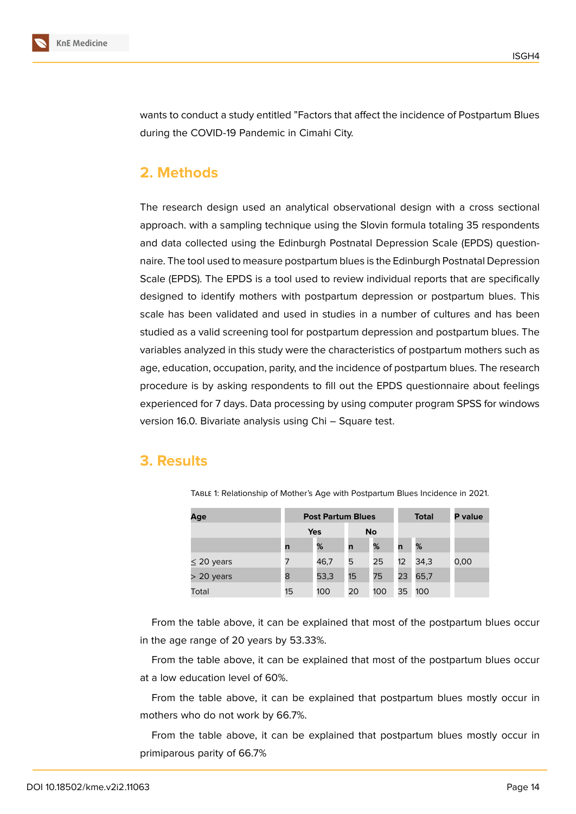

wants to conduct a study entitled "Factors that affect the incidence of Postpartum Blues during the COVID-19 Pandemic in Cimahi City.

# **2. Methods**

The research design used an analytical observational design with a cross sectional approach. with a sampling technique using the Slovin formula totaling 35 respondents and data collected using the Edinburgh Postnatal Depression Scale (EPDS) questionnaire. The tool used to measure postpartum blues is the Edinburgh Postnatal Depression Scale (EPDS). The EPDS is a tool used to review individual reports that are specifically designed to identify mothers with postpartum depression or postpartum blues. This scale has been validated and used in studies in a number of cultures and has been studied as a valid screening tool for postpartum depression and postpartum blues. The variables analyzed in this study were the characteristics of postpartum mothers such as age, education, occupation, parity, and the incidence of postpartum blues. The research procedure is by asking respondents to fill out the EPDS questionnaire about feelings experienced for 7 days. Data processing by using computer program SPSS for windows version 16.0. Bivariate analysis using Chi – Square test.

## **3. Results**

| Age             |            | <b>Post Partum Blues</b> |           |     | <b>Total</b> | P value |      |
|-----------------|------------|--------------------------|-----------|-----|--------------|---------|------|
|                 | <b>Yes</b> |                          | <b>No</b> |     |              |         |      |
|                 | n          | %                        | n         | %   | n            | %       |      |
| $\leq$ 20 years | 7          | 46,7                     | 5         | 25  | 12           | 34,3    | 0,00 |
| $>$ 20 years    | 8          | 53,3                     | 15        | 75  | 23           | 65,7    |      |
| Total           | 15         | 100                      | 20        | 100 | 35           | 100     |      |

Table 1: Relationship of Mother's Age with Postpartum Blues Incidence in 2021.

From the table above, it can be explained that most of the postpartum blues occur in the age range of 20 years by 53.33%.

From the table above, it can be explained that most of the postpartum blues occur at a low education level of 60%.

From the table above, it can be explained that postpartum blues mostly occur in mothers who do not work by 66.7%.

From the table above, it can be explained that postpartum blues mostly occur in primiparous parity of 66.7%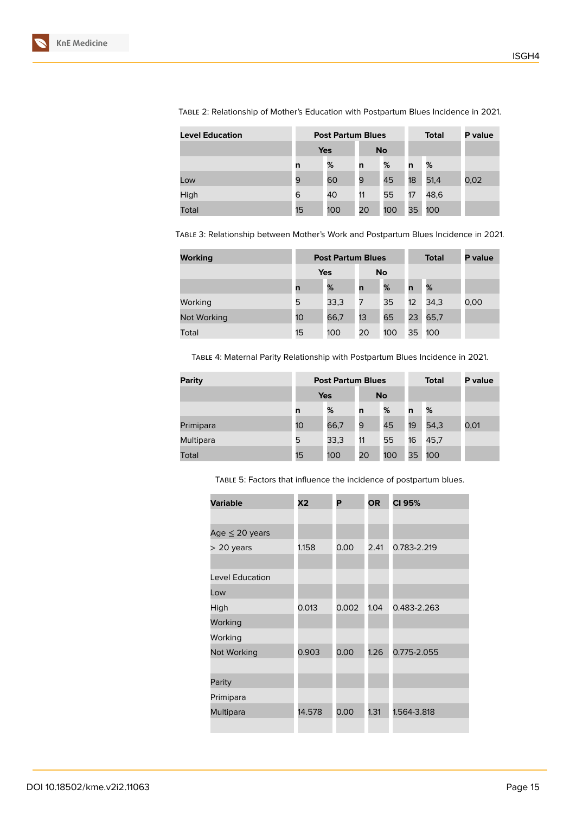| <b>Level Education</b> | <b>Post Partum Blues</b> |     |           |     |    | <b>Total</b> | P value |
|------------------------|--------------------------|-----|-----------|-----|----|--------------|---------|
|                        | <b>Yes</b>               |     | <b>No</b> |     |    |              |         |
|                        | n                        | %   | n         | %   | n  | %            |         |
| Low                    | 9                        | 60  | 9         | 45  | 18 | 51,4         | 0,02    |
| High                   | 6                        | 40  | 11        | 55  | 17 | 48,6         |         |
| Total                  | 15                       | 100 | 20        | 100 | 35 | 100          |         |

Table 2: Relationship of Mother's Education with Postpartum Blues Incidence in 2021.

Table 3: Relationship between Mother's Work and Postpartum Blues Incidence in 2021.

| Working     |     | <b>Post Partum Blues</b> |           |     | <b>Total</b> | <b>P</b> value |      |
|-------------|-----|--------------------------|-----------|-----|--------------|----------------|------|
|             | Yes |                          | <b>No</b> |     |              |                |      |
|             | n   | %                        | n         | %   | n            | %              |      |
| Working     | 5   | 33,3                     | 7         | 35  | 12           | 34,3           | 0,00 |
| Not Working | 10  | 66,7                     | 13        | 65  | 23           | 65,7           |      |
| Total       | 15  | 100                      | 20        | 100 | 35           | 100            |      |

Table 4: Maternal Parity Relationship with Postpartum Blues Incidence in 2021.

| <b>Parity</b> | <b>Post Partum Blues</b> |      |           |     |    | <b>Total</b> | P value |
|---------------|--------------------------|------|-----------|-----|----|--------------|---------|
|               | <b>Yes</b>               |      | <b>No</b> |     |    |              |         |
|               | n                        | %    | n         | %   | n  | %            |         |
| Primipara     | 10                       | 66,7 | 9         | 45  | 19 | 54,3         | 0,01    |
| Multipara     | 5                        | 33,3 | 11        | 55  | 16 | 45,7         |         |
| Total         | 15                       | 100  | 20        | 100 | 35 | 100          |         |

Table 5: Factors that influence the incidence of postpartum blues.

| <b>Variable</b>     | <b>X2</b> | P     | <b>OR</b> | CI 95%      |
|---------------------|-----------|-------|-----------|-------------|
|                     |           |       |           |             |
| Age $\leq$ 20 years |           |       |           |             |
| $>$ 20 years        | 1.158     | 0.00  | 2.41      | 0.783-2.219 |
|                     |           |       |           |             |
| Level Education     |           |       |           |             |
| Low                 |           |       |           |             |
| High                | 0.013     | 0.002 | 1.04      | 0.483-2.263 |
| Working             |           |       |           |             |
| Working             |           |       |           |             |
| Not Working         | 0.903     | 0.00  | 1.26      | 0.775-2.055 |
|                     |           |       |           |             |
| Parity              |           |       |           |             |
| Primipara           |           |       |           |             |
| Multipara           | 14.578    | 0.00  | 1.31      | 1.564-3.818 |
|                     |           |       |           |             |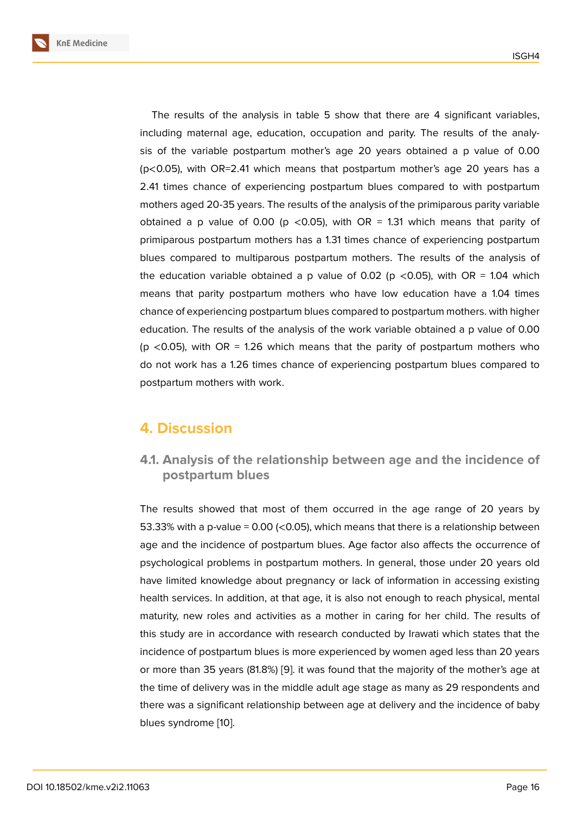The results of the analysis in table 5 show that there are 4 significant variables, including maternal age, education, occupation and parity. The results of the analysis of the variable postpartum mother's age 20 years obtained a p value of 0.00 (p<0.05), with OR=2.41 which means that postpartum mother's age 20 years has a 2.41 times chance of experiencing postpartum blues compared to with postpartum mothers aged 20-35 years. The results of the analysis of the primiparous parity variable obtained a p value of 0.00 (p <0.05), with OR = 1.31 which means that parity of primiparous postpartum mothers has a 1.31 times chance of experiencing postpartum blues compared to multiparous postpartum mothers. The results of the analysis of the education variable obtained a p value of 0.02 (p  $<$  0.05), with OR = 1.04 which means that parity postpartum mothers who have low education have a 1.04 times chance of experiencing postpartum blues compared to postpartum mothers. with higher education. The results of the analysis of the work variable obtained a p value of 0.00 (p  $\lt$ 0.05), with OR = 1.26 which means that the parity of postpartum mothers who do not work has a 1.26 times chance of experiencing postpartum blues compared to postpartum mothers with work.

### **4. Discussion**

**4.1. Analysis of the relationship between age and the incidence of postpartum blues**

The results showed that most of them occurred in the age range of 20 years by 53.33% with a p-value = 0.00 (<0.05), which means that there is a relationship between age and the incidence of postpartum blues. Age factor also affects the occurrence of psychological problems in postpartum mothers. In general, those under 20 years old have limited knowledge about pregnancy or lack of information in accessing existing health services. In addition, at that age, it is also not enough to reach physical, mental maturity, new roles and activities as a mother in caring for her child. The results of this study are in accordance with research conducted by Irawati which states that the incidence of postpartum blues is more experienced by women aged less than 20 years or more than 35 years (81.8%) [9]. it was found that the majority of the mother's age at the time of delivery was in the middle adult age stage as many as 29 respondents and there was a significant relationship between age at delivery and the incidence of baby blues syndrome [10].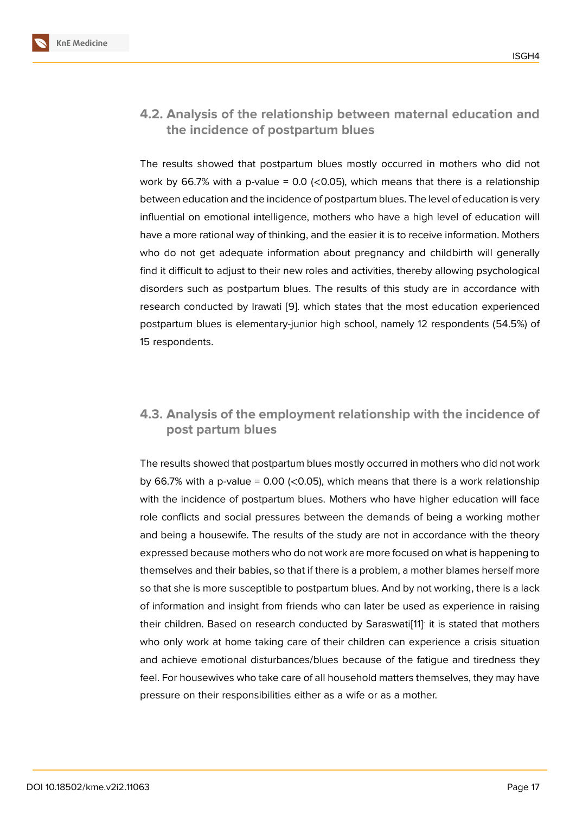#### **4.2. Analysis of the relationship between maternal education and the incidence of postpartum blues**

The results showed that postpartum blues mostly occurred in mothers who did not work by 66.7% with a p-value =  $0.0$  (<0.05), which means that there is a relationship between education and the incidence of postpartum blues. The level of education is very influential on emotional intelligence, mothers who have a high level of education will have a more rational way of thinking, and the easier it is to receive information. Mothers who do not get adequate information about pregnancy and childbirth will generally find it difficult to adjust to their new roles and activities, thereby allowing psychological disorders such as postpartum blues. The results of this study are in accordance with research conducted by Irawati [9]. which states that the most education experienced postpartum blues is elementary-junior high school, namely 12 respondents (54.5%) of 15 respondents.

#### **4.3. Analysis of the employment relationship with the incidence of post partum blues**

The results showed that postpartum blues mostly occurred in mothers who did not work by 66.7% with a p-value =  $0.00$  ( $< 0.05$ ), which means that there is a work relationship with the incidence of postpartum blues. Mothers who have higher education will face role conflicts and social pressures between the demands of being a working mother and being a housewife. The results of the study are not in accordance with the theory expressed because mothers who do not work are more focused on what is happening to themselves and their babies, so that if there is a problem, a mother blames herself more so that she is more susceptible to postpartum blues. And by not working, there is a lack of information and insight from friends who can later be used as experience in raising their children. Based on research conducted by Saraswati[11] it is stated that mothers who only work at home taking care of their children can experience a crisis situation and achieve emotional disturbances/blues because of the fatigue and tiredness they feel. For housewives who take care of all household matters [th](#page-8-0)emselves, they may have pressure on their responsibilities either as a wife or as a mother.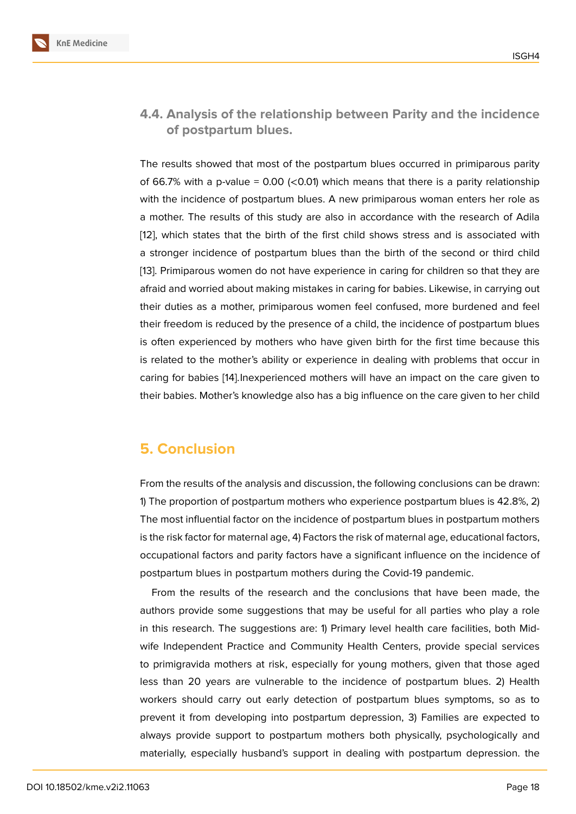#### **4.4. Analysis of the relationship between Parity and the incidence of postpartum blues.**

The results showed that most of the postpartum blues occurred in primiparous parity of 66.7% with a p-value =  $0.00$  (<0.01) which means that there is a parity relationship with the incidence of postpartum blues. A new primiparous woman enters her role as a mother. The results of this study are also in accordance with the research of Adila [12], which states that the birth of the first child shows stress and is associated with a stronger incidence of postpartum blues than the birth of the second or third child [13]. Primiparous women do not have experience in caring for children so that they are [afra](#page-8-1)id and worried about making mistakes in caring for babies. Likewise, in carrying out their duties as a mother, primiparous women feel confused, more burdened and feel [the](#page-8-2)ir freedom is reduced by the presence of a child, the incidence of postpartum blues is often experienced by mothers who have given birth for the first time because this is related to the mother's ability or experience in dealing with problems that occur in caring for babies [14].Inexperienced mothers will have an impact on the care given to their babies. Mother's knowledge also has a big influence on the care given to her child

### **5. Conclusion**

From the results of the analysis and discussion, the following conclusions can be drawn: 1) The proportion of postpartum mothers who experience postpartum blues is 42.8%, 2) The most influential factor on the incidence of postpartum blues in postpartum mothers is the risk factor for maternal age, 4) Factors the risk of maternal age, educational factors, occupational factors and parity factors have a significant influence on the incidence of postpartum blues in postpartum mothers during the Covid-19 pandemic.

From the results of the research and the conclusions that have been made, the authors provide some suggestions that may be useful for all parties who play a role in this research. The suggestions are: 1) Primary level health care facilities, both Midwife Independent Practice and Community Health Centers, provide special services to primigravida mothers at risk, especially for young mothers, given that those aged less than 20 years are vulnerable to the incidence of postpartum blues. 2) Health workers should carry out early detection of postpartum blues symptoms, so as to prevent it from developing into postpartum depression, 3) Families are expected to always provide support to postpartum mothers both physically, psychologically and materially, especially husband's support in dealing with postpartum depression. the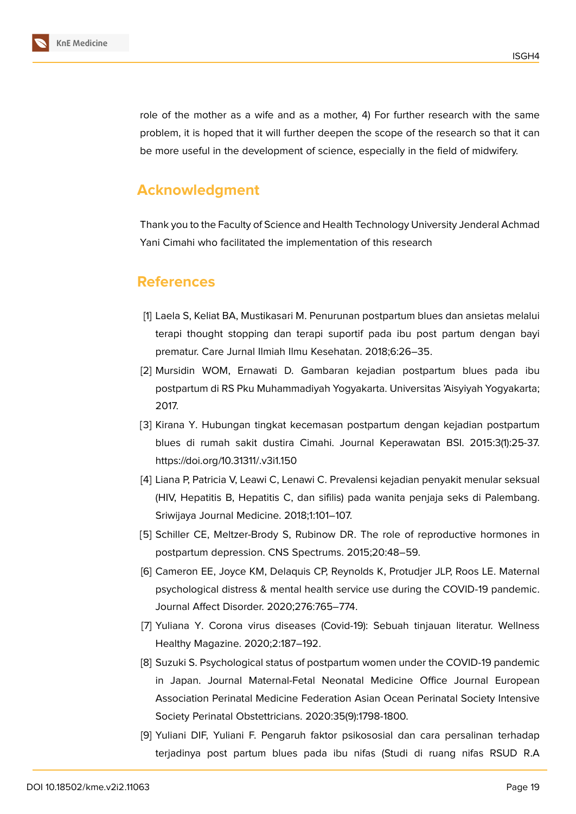

role of the mother as a wife and as a mother, 4) For further research with the same problem, it is hoped that it will further deepen the scope of the research so that it can be more useful in the development of science, especially in the field of midwifery.

## **Acknowledgment**

Thank you to the Faculty of Science and Health Technology University Jenderal Achmad Yani Cimahi who facilitated the implementation of this research

#### **References**

- <span id="page-7-0"></span>[1] Laela S, Keliat BA, Mustikasari M. Penurunan postpartum blues dan ansietas melalui terapi thought stopping dan terapi suportif pada ibu post partum dengan bayi prematur. Care Jurnal Ilmiah Ilmu Kesehatan. 2018;6:26–35.
- [2] Mursidin WOM, Ernawati D. Gambaran kejadian postpartum blues pada ibu postpartum di RS Pku Muhammadiyah Yogyakarta. Universitas 'Aisyiyah Yogyakarta; 2017.
- [3] Kirana Y. Hubungan tingkat kecemasan postpartum dengan kejadian postpartum blues di rumah sakit dustira Cimahi. Journal Keperawatan BSI. 2015:3(1):25-37. https://doi.org/10.31311/.v3i1.150
- <span id="page-7-1"></span>[4] Liana P, Patricia V, Leawi C, Lenawi C. Prevalensi kejadian penyakit menular seksual (HIV, Hepatitis B, Hepatitis C, dan sifilis) pada wanita penjaja seks di Palembang. Sriwijaya Journal Medicine. 2018;1:101–107.
- <span id="page-7-2"></span>[5] Schiller CE, Meltzer-Brody S, Rubinow DR. The role of reproductive hormones in postpartum depression. CNS Spectrums. 2015;20:48–59.
- <span id="page-7-3"></span>[6] Cameron EE, Joyce KM, Delaquis CP, Reynolds K, Protudjer JLP, Roos LE. Maternal psychological distress & mental health service use during the COVID-19 pandemic. Journal Affect Disorder. 2020;276:765–774.
- <span id="page-7-4"></span>[7] Yuliana Y. Corona virus diseases (Covid-19): Sebuah tinjauan literatur. Wellness Healthy Magazine. 2020;2:187–192.
- <span id="page-7-5"></span>[8] Suzuki S. Psychological status of postpartum women under the COVID-19 pandemic in Japan. Journal Maternal-Fetal Neonatal Medicine Office Journal European Association Perinatal Medicine Federation Asian Ocean Perinatal Society Intensive Society Perinatal Obstettricians. 2020:35(9):1798-1800.
- [9] Yuliani DIF, Yuliani F. Pengaruh faktor psikososial dan cara persalinan terhadap terjadinya post partum blues pada ibu nifas (Studi di ruang nifas RSUD R.A